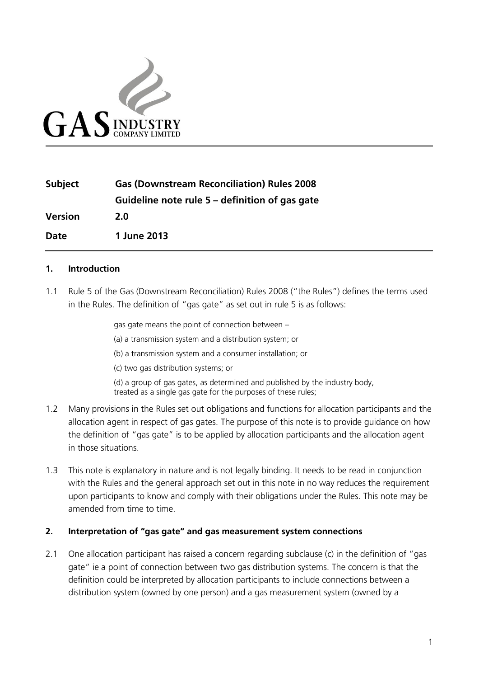

| <b>Subject</b> | <b>Gas (Downstream Reconciliation) Rules 2008</b> |
|----------------|---------------------------------------------------|
|                | Guideline note rule 5 – definition of gas gate    |
| <b>Version</b> | 2.0                                               |
| Date           | 1 June 2013                                       |

## **1. Introduction**

1.1 Rule 5 of the Gas (Downstream Reconciliation) Rules 2008 ("the Rules") defines the terms used in the Rules. The definition of "gas gate" as set out in rule 5 is as follows:

> gas gate means the point of connection between – (a) a transmission system and a distribution system; or (b) a transmission system and a consumer installation; or (c) two gas distribution systems; or (d) a group of gas gates, as determined and published by the industry body, treated as a single gas gate for the purposes of these rules;

- 1.2 Many provisions in the Rules set out obligations and functions for allocation participants and the allocation agent in respect of gas gates. The purpose of this note is to provide guidance on how the definition of "gas gate" is to be applied by allocation participants and the allocation agent in those situations.
- 1.3 This note is explanatory in nature and is not legally binding. It needs to be read in conjunction with the Rules and the general approach set out in this note in no way reduces the requirement upon participants to know and comply with their obligations under the Rules. This note may be amended from time to time.

## **2. Interpretation of "gas gate" and gas measurement system connections**

2.1 One allocation participant has raised a concern regarding subclause (c) in the definition of "gas gate" ie a point of connection between two gas distribution systems. The concern is that the definition could be interpreted by allocation participants to include connections between a distribution system (owned by one person) and a gas measurement system (owned by a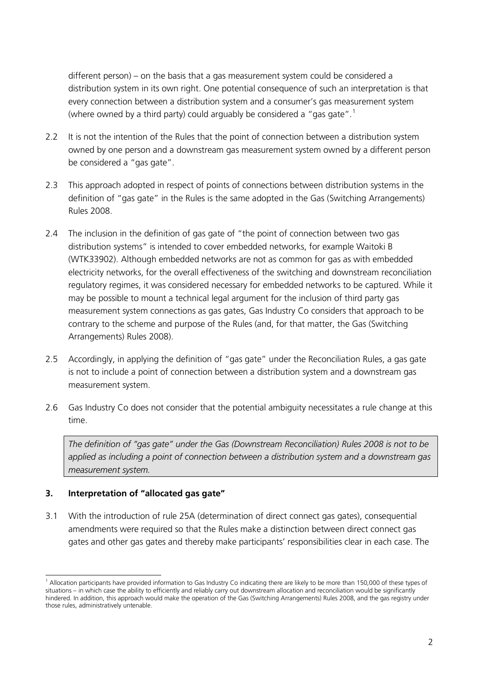different person) – on the basis that a gas measurement system could be considered a distribution system in its own right. One potential consequence of such an interpretation is that every connection between a distribution system and a consumer's gas measurement system (where owned by a third party) could arguably be considered a "gas gate".<sup>[1](#page-1-0)</sup>

- 2.2 It is not the intention of the Rules that the point of connection between a distribution system owned by one person and a downstream gas measurement system owned by a different person be considered a "gas gate".
- 2.3 This approach adopted in respect of points of connections between distribution systems in the definition of "gas gate" in the Rules is the same adopted in the Gas (Switching Arrangements) Rules 2008.
- 2.4 The inclusion in the definition of gas gate of "the point of connection between two gas distribution systems" is intended to cover embedded networks, for example Waitoki B (WTK33902). Although embedded networks are not as common for gas as with embedded electricity networks, for the overall effectiveness of the switching and downstream reconciliation regulatory regimes, it was considered necessary for embedded networks to be captured. While it may be possible to mount a technical legal argument for the inclusion of third party gas measurement system connections as gas gates, Gas Industry Co considers that approach to be contrary to the scheme and purpose of the Rules (and, for that matter, the Gas (Switching Arrangements) Rules 2008).
- 2.5 Accordingly, in applying the definition of "gas gate" under the Reconciliation Rules, a gas gate is not to include a point of connection between a distribution system and a downstream gas measurement system.
- 2.6 Gas Industry Co does not consider that the potential ambiguity necessitates a rule change at this time.

*The definition of "gas gate" under the Gas (Downstream Reconciliation) Rules 2008 is not to be applied as including a point of connection between a distribution system and a downstream gas measurement system.*

# **3. Interpretation of "allocated gas gate"**

3.1 With the introduction of rule 25A (determination of direct connect gas gates), consequential amendments were required so that the Rules make a distinction between direct connect gas gates and other gas gates and thereby make participants' responsibilities clear in each case. The

<span id="page-1-0"></span> $<sup>1</sup>$  Allocation participants have provided information to Gas Industry Co indicating there are likely to be more than 150,000 of these types of</sup> situations – in which case the ability to efficiently and reliably carry out downstream allocation and reconciliation would be significantly hindered. In addition, this approach would make the operation of the Gas (Switching Arrangements) Rules 2008, and the gas registry under those rules, administratively untenable.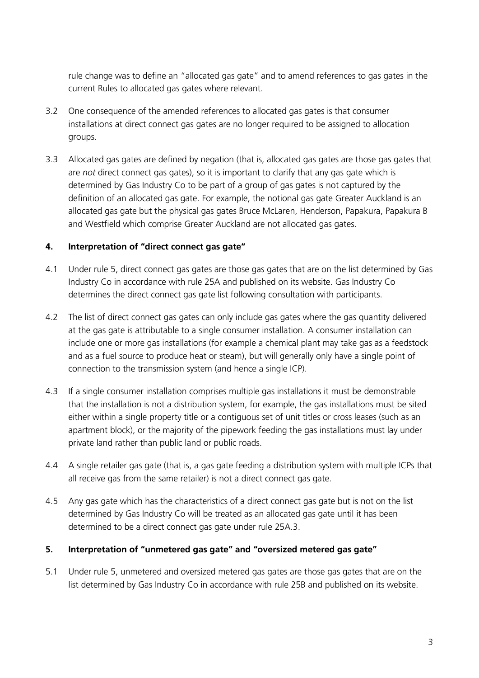rule change was to define an "allocated gas gate" and to amend references to gas gates in the current Rules to allocated gas gates where relevant.

- 3.2 One consequence of the amended references to allocated gas gates is that consumer installations at direct connect gas gates are no longer required to be assigned to allocation groups.
- 3.3 Allocated gas gates are defined by negation (that is, allocated gas gates are those gas gates that are *not* direct connect gas gates), so it is important to clarify that any gas gate which is determined by Gas Industry Co to be part of a group of gas gates is not captured by the definition of an allocated gas gate. For example, the notional gas gate Greater Auckland is an allocated gas gate but the physical gas gates Bruce McLaren, Henderson, Papakura, Papakura B and Westfield which comprise Greater Auckland are not allocated gas gates.

# **4. Interpretation of "direct connect gas gate"**

- 4.1 Under rule 5, direct connect gas gates are those gas gates that are on the list determined by Gas Industry Co in accordance with rule 25A and published on its website. Gas Industry Co determines the direct connect gas gate list following consultation with participants.
- 4.2 The list of direct connect gas gates can only include gas gates where the gas quantity delivered at the gas gate is attributable to a single consumer installation. A consumer installation can include one or more gas installations (for example a chemical plant may take gas as a feedstock and as a fuel source to produce heat or steam), but will generally only have a single point of connection to the transmission system (and hence a single ICP).
- 4.3 If a single consumer installation comprises multiple gas installations it must be demonstrable that the installation is not a distribution system, for example, the gas installations must be sited either within a single property title or a contiguous set of unit titles or cross leases (such as an apartment block), or the majority of the pipework feeding the gas installations must lay under private land rather than public land or public roads.
- 4.4 A single retailer gas gate (that is, a gas gate feeding a distribution system with multiple ICPs that all receive gas from the same retailer) is not a direct connect gas gate.
- 4.5 Any gas gate which has the characteristics of a direct connect gas gate but is not on the list determined by Gas Industry Co will be treated as an allocated gas gate until it has been determined to be a direct connect gas gate under rule 25A.3.

# **5. Interpretation of "unmetered gas gate" and "oversized metered gas gate"**

5.1 Under rule 5, unmetered and oversized metered gas gates are those gas gates that are on the list determined by Gas Industry Co in accordance with rule 25B and published on its website.